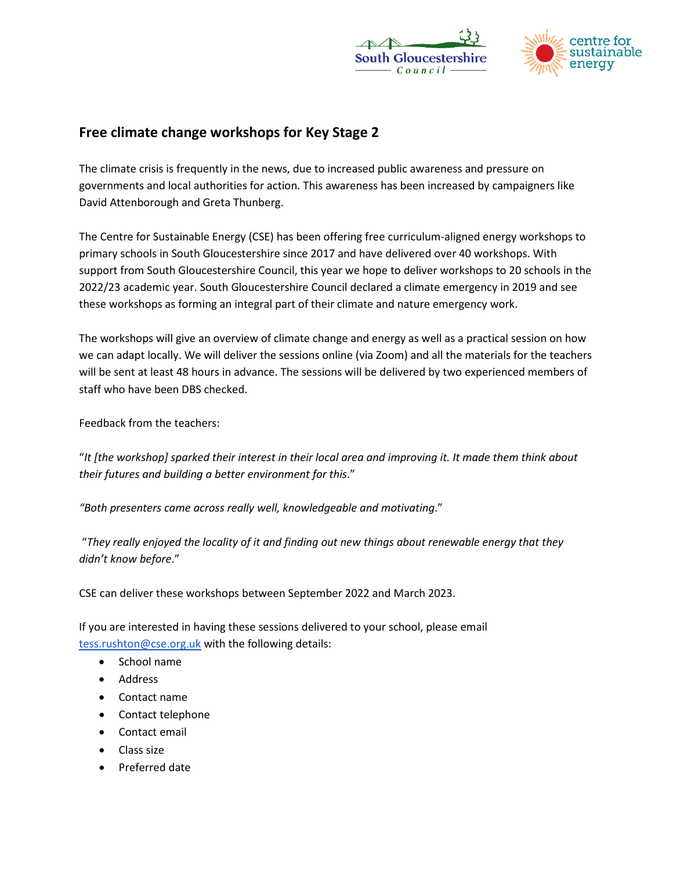



## **Free climate change workshops for Key Stage 2**

The climate crisis is frequently in the news, due to increased public awareness and pressure on governments and local authorities for action. This awareness has been increased by campaigners like David Attenborough and Greta Thunberg.

The Centre for Sustainable Energy (CSE) has been offering free curriculum-aligned energy workshops to primary schools in South Gloucestershire since 2017 and have delivered over 40 workshops. With support from South Gloucestershire Council, this year we hope to deliver workshops to 20 schools in the 2022/23 academic year. South Gloucestershire Council declared a climate emergency in 2019 and see these workshops as forming an integral part of their climate and nature emergency work.

The workshops will give an overview of climate change and energy as well as a practical session on how we can adapt locally. We will deliver the sessions online (via Zoom) and all the materials for the teachers will be sent at least 48 hours in advance. The sessions will be delivered by two experienced members of staff who have been DBS checked.

Feedback from the teachers:

"*It [the workshop] sparked their interest in their local area and improving it. It made them think about their futures and building a better environment for this*."

*"Both presenters came across really well, knowledgeable and motivating*."

 "*They really enjoyed the locality of it and finding out new things about renewable energy that they didn't know before*."

CSE can deliver these workshops between September 2022 and March 2023.

If you are interested in having these sessions delivered to your school, please email [tess.rushton@cse.org.uk](mailto:tess.rushton@cse.org.uk) with the following details:

- School name
- Address
- Contact name
- Contact telephone
- Contact email
- Class size
- Preferred date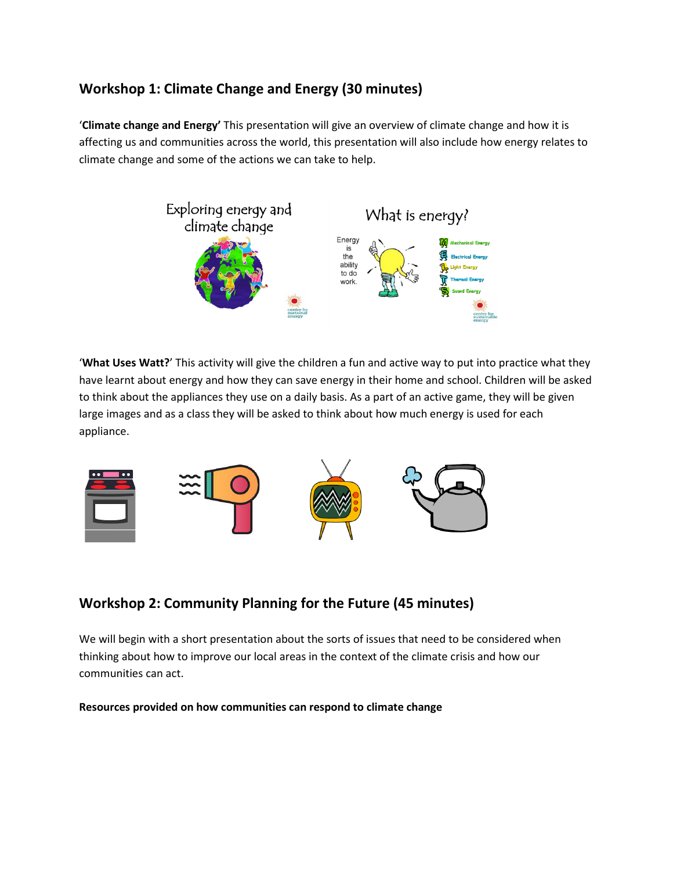## **Workshop 1: Climate Change and Energy (30 minutes)**

'**Climate change and Energy'** This presentation will give an overview of climate change and how it is affecting us and communities across the world, this presentation will also include how energy relates to climate change and some of the actions we can take to help.



'**What Uses Watt?**' This activity will give the children a fun and active way to put into practice what they have learnt about energy and how they can save energy in their home and school. Children will be asked to think about the appliances they use on a daily basis. As a part of an active game, they will be given large images and as a class they will be asked to think about how much energy is used for each appliance.



# **Workshop 2: Community Planning for the Future (45 minutes)**

We will begin with a short presentation about the sorts of issues that need to be considered when thinking about how to improve our local areas in the context of the climate crisis and how our communities can act.

**Resources provided on how communities can respond to climate change**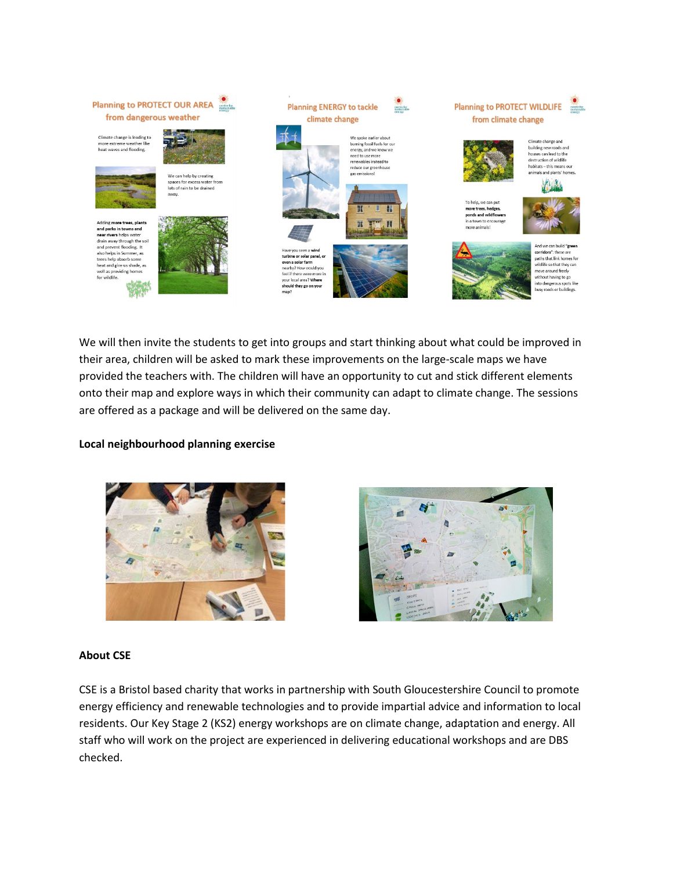

We will then invite the students to get into groups and start thinking about what could be improved in their area, children will be asked to mark these improvements on the large-scale maps we have provided the teachers with. The children will have an opportunity to cut and stick different elements onto their map and explore ways in which their community can adapt to climate change. The sessions are offered as a package and will be delivered on the same day.

### **Local neighbourhood planning exercise**





### **About CSE**

CSE is a Bristol based charity that works in partnership with South Gloucestershire Council to promote energy efficiency and renewable technologies and to provide impartial advice and information to local residents. Our Key Stage 2 (KS2) energy workshops are on climate change, adaptation and energy. All staff who will work on the project are experienced in delivering educational workshops and are DBS checked.